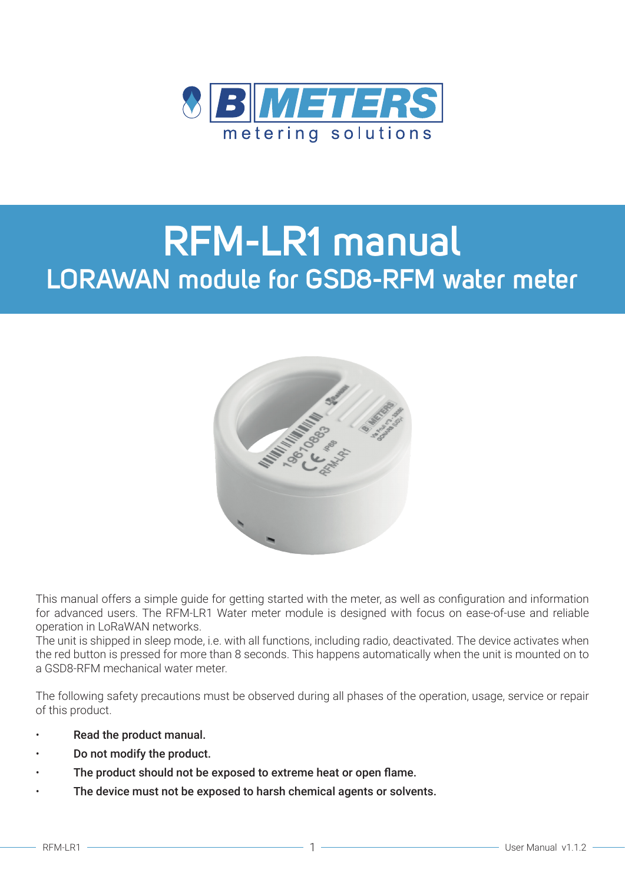

# **RFM-LR1 manual LORAWAN module for GSD8-RFM water meter**



This manual offers a simple guide for getting started with the meter, as well as configuration and information for advanced users. The RFM-LR1 Water meter module is designed with focus on ease-of-use and reliable operation in LoRaWAN networks.

The unit is shipped in sleep mode, i.e. with all functions, including radio, deactivated. The device activates when the red button is pressed for more than 8 seconds. This happens automatically when the unit is mounted on to a GSD8-RFM mechanical water meter.

The following safety precautions must be observed during all phases of the operation, usage, service or repair of this product.

- Read the product manual.
- Do not modify the product.
- The product should not be exposed to extreme heat or open flame.
- The device must not be exposed to harsh chemical agents or solvents.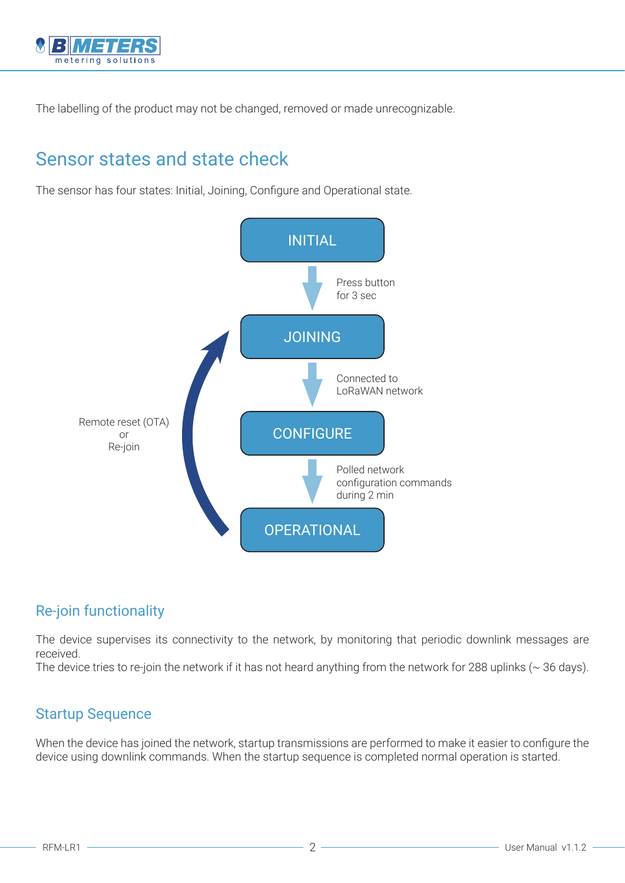

The labelling of the product may not be changed, removed or made unrecognizable.

### Sensor states and state check

The sensor has four states: Initial, Joining, Configure and Operational state.



#### Re-join functionality

The device supervises its connectivity to the network, by monitoring that periodic downlink messages are received.

The device tries to re-join the network if it has not heard anything from the network for 288 uplinks ( $\sim$  36 days).

#### Startup Sequence

When the device has joined the network, startup transmissions are performed to make it easier to configure the device using downlink commands. When the startup sequence is completed normal operation is started.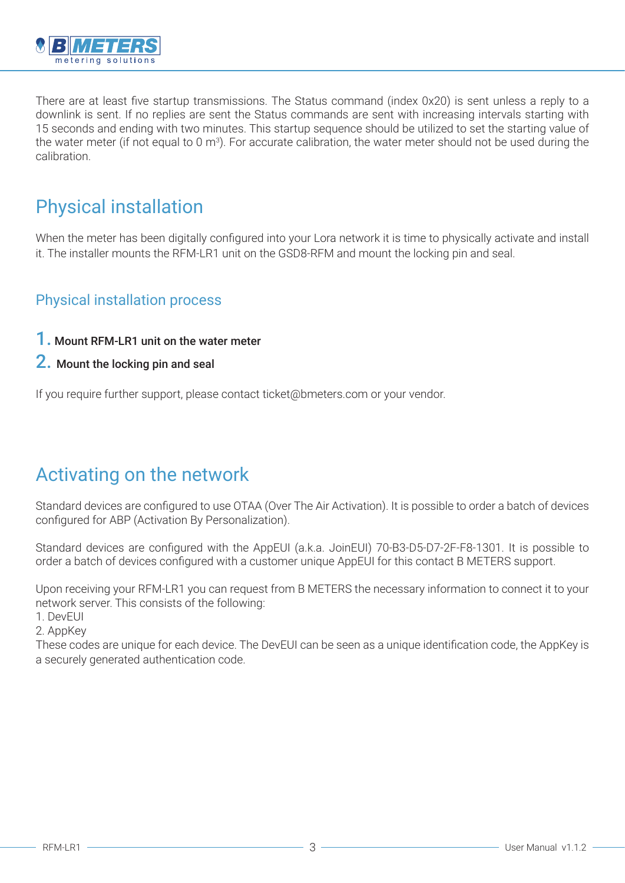

There are at least five startup transmissions. The Status command (index 0x20) is sent unless a reply to a downlink is sent. If no replies are sent the Status commands are sent with increasing intervals starting with 15 seconds and ending with two minutes. This startup sequence should be utilized to set the starting value of the water meter (if not equal to 0 m<sup>3</sup>). For accurate calibration, the water meter should not be used during the calibration.

### Physical installation

When the meter has been digitally configured into your Lora network it is time to physically activate and install it. The installer mounts the RFM-LR1 unit on the GSD8-RFM and mount the locking pin and seal.

#### Physical installation process

- 1. Mount RFM-LR1 unit on the water meter
- 2. Mount the locking pin and seal

If you require further support, please contact ticket@bmeters.com or your vendor.

### Activating on the network

Standard devices are configured to use OTAA (Over The Air Activation). It is possible to order a batch of devices configured for ABP (Activation By Personalization).

Standard devices are configured with the AppEUI (a.k.a. JoinEUI) 70-B3-D5-D7-2F-F8-1301. It is possible to order a batch of devices configured with a customer unique AppEUI for this contact B METERS support.

Upon receiving your RFM-LR1 you can request from B METERS the necessary information to connect it to your network server. This consists of the following:

1. DevEUI

2. AppKey

These codes are unique for each device. The DevEUI can be seen as a unique identification code, the AppKey is a securely generated authentication code.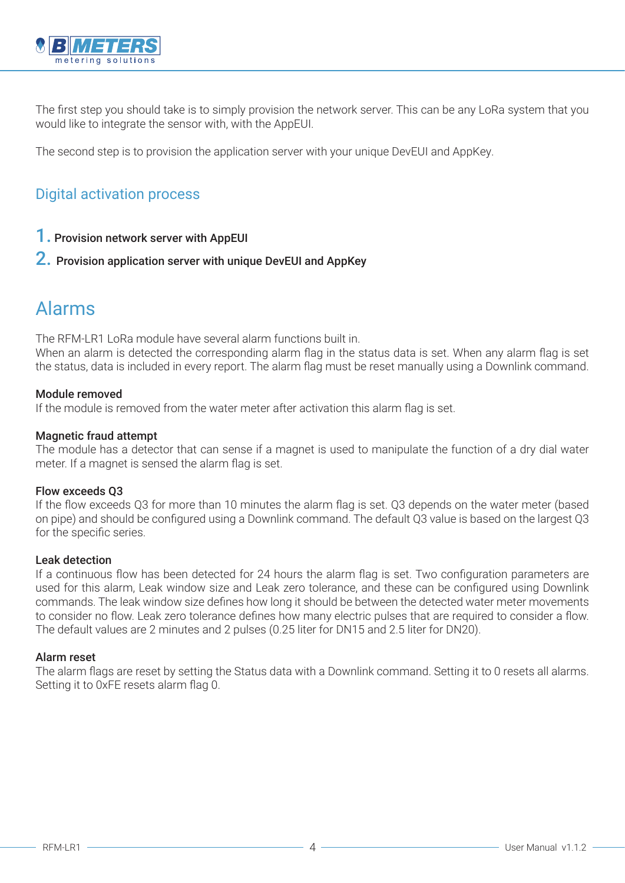

The first step you should take is to simply provision the network server. This can be any LoRa system that you would like to integrate the sensor with, with the AppEUI.

The second step is to provision the application server with your unique DevEUI and AppKey.

#### Digital activation process

#### 1. Provision network server with AppEUI

#### 2. Provision application server with unique DevEUI and AppKey

### Alarms

The RFM-LR1 LoRa module have several alarm functions built in.

When an alarm is detected the corresponding alarm flag in the status data is set. When any alarm flag is set the status, data is included in every report. The alarm flag must be reset manually using a Downlink command.

#### Module removed

If the module is removed from the water meter after activation this alarm flag is set.

#### Magnetic fraud attempt

The module has a detector that can sense if a magnet is used to manipulate the function of a dry dial water meter. If a magnet is sensed the alarm flag is set.

#### Flow exceeds Q3

If the flow exceeds Q3 for more than 10 minutes the alarm flag is set. Q3 depends on the water meter (based on pipe) and should be configured using a Downlink command. The default Q3 value is based on the largest Q3 for the specific series.

#### Leak detection

If a continuous flow has been detected for 24 hours the alarm flag is set. Two configuration parameters are used for this alarm, Leak window size and Leak zero tolerance, and these can be configured using Downlink commands. The leak window size defines how long it should be between the detected water meter movements to consider no flow. Leak zero tolerance defines how many electric pulses that are required to consider a flow. The default values are 2 minutes and 2 pulses (0.25 liter for DN15 and 2.5 liter for DN20).

#### Alarm reset

The alarm flags are reset by setting the Status data with a Downlink command. Setting it to 0 resets all alarms. Setting it to 0xFE resets alarm flag 0.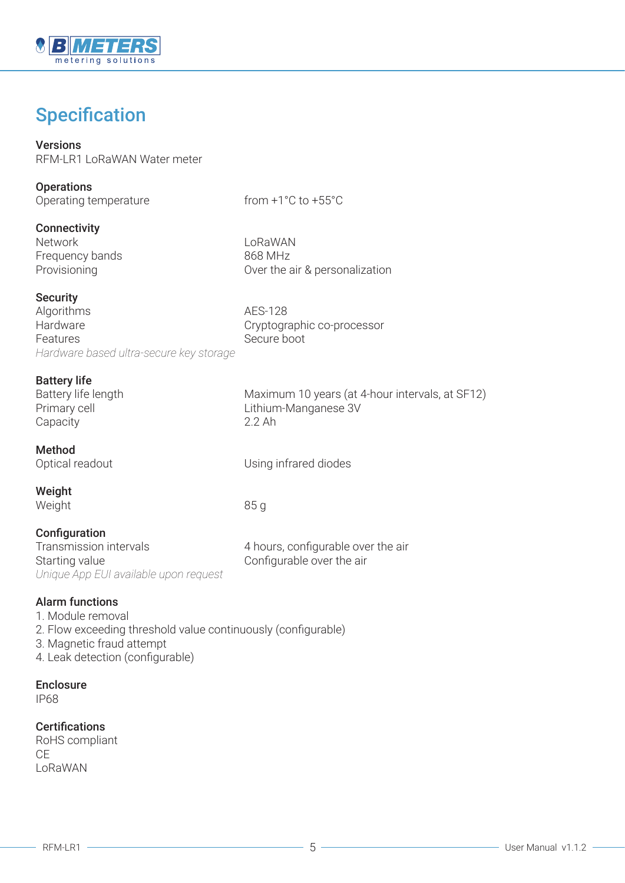

### **Specification**

#### Versions RFM-LR1 LoRaWAN Water meter

| <b>Operations</b>     |  |
|-----------------------|--|
| Operating temperature |  |

from  $+1^{\circ}$ C to  $+55^{\circ}$ C

#### **Connectivity**

Network LoRaWAN Frequency bands 868 MHz Provisioning Over the air & personalization

#### **Security**

Algorithms AES-128 Hardware **Cryptographic co-processor** Features Secure boot *Hardware based ultra-secure key storage*

**Battery life**<br>Battery life length Primary cell **Primary cell** 2012 11: Lithium-Manganese 3V Capacity 2.2 Ah

Method

Optical readout and Using infrared diodes

Maximum 10 years (at 4-hour intervals, at SF12)

Weight Weight 85 g

#### **Configuration**

Transmission intervals 1986 and 4 hours, configurable over the air Starting value Starting value Configurable over the air *Unique App EUI available upon request*

Alarm functions

- 1. Module removal
- 2. Flow exceeding threshold value continuously (configurable)
- 3. Magnetic fraud attempt
- 4. Leak detection (configurable)

#### Enclosure

IP68

#### **Certifications**

RoHS compliant CE LoRaWAN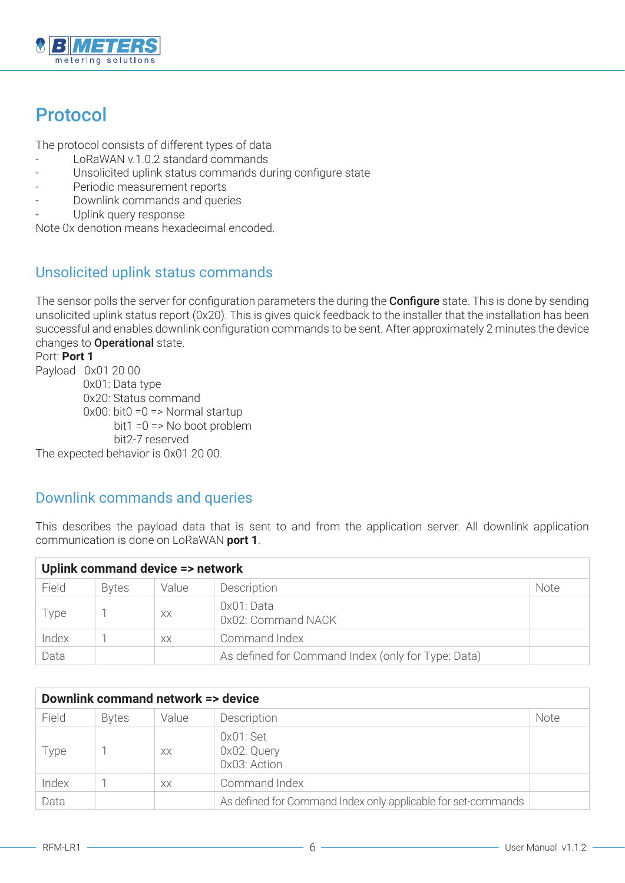

## Protocol

The protocol consists of different types of data

- LoRaWAN v.1.0.2 standard commands
- Unsolicited uplink status commands during configure state
- Periodic measurement reports
- Downlink commands and queries
- Uplink query response

Note 0x denotion means hexadecimal encoded.

#### Unsolicited uplink status commands

The sensor polls the server for configuration parameters the during the **Configure** state. This is done by sending unsolicited uplink status report (0x20). This is gives quick feedback to the installer that the installation has been successful and enables downlink configuration commands to be sent. After approximately 2 minutes the device changes to **Operational** state.

Port: **Port 1** Payload 0x01 20 00 0x01: Data type 0x20: Status command  $0 \times 00$ : bit $0 = 0 \implies$  Normal startup bit1 =0 => No boot problem bit2-7 reserved

The expected behavior is 0x01 20 00.

#### Downlink commands and queries

This describes the payload data that is sent to and from the application server. All downlink application communication is done on LoRaWAN **port 1**.

| Uplink command device => network |              |       |                                                    |             |  |
|----------------------------------|--------------|-------|----------------------------------------------------|-------------|--|
| Field                            | <b>Bytes</b> | Value | Description                                        | <b>Note</b> |  |
| Type                             |              | XX    | OxO1: Data<br>0x02: Command NACK                   |             |  |
| Index                            |              | XX    | Command Index                                      |             |  |
| Data                             |              |       | As defined for Command Index (only for Type: Data) |             |  |

| Downlink command network => device |              |       |                                                               |             |  |
|------------------------------------|--------------|-------|---------------------------------------------------------------|-------------|--|
| Field                              | <b>Bytes</b> | Value | Description                                                   | <b>Note</b> |  |
| Type                               |              | XX    | $0x01$ : Set<br>OxO2: Query<br>OxO3: Action                   |             |  |
| Index                              |              | XX    | Command Index                                                 |             |  |
| Data                               |              |       | As defined for Command Index only applicable for set-commands |             |  |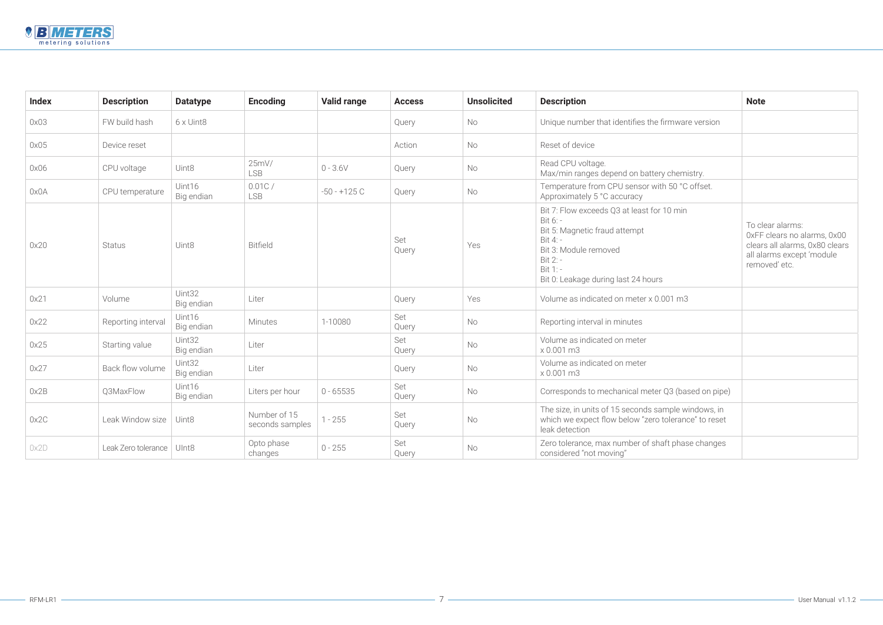|                                       | <b>Note</b>                                                                                                                     |
|---------------------------------------|---------------------------------------------------------------------------------------------------------------------------------|
| mware version                         |                                                                                                                                 |
|                                       |                                                                                                                                 |
| chemistry.                            |                                                                                                                                 |
| 50 °C offset.                         |                                                                                                                                 |
| $0 \text{ min}$                       | To clear alarms:<br>0xFF clears no alarms, 0x00<br>clears all alarms, 0x80 clears<br>all alarms except 'module<br>removed' etc. |
| 1 <sub>ms</sub>                       |                                                                                                                                 |
|                                       |                                                                                                                                 |
|                                       |                                                                                                                                 |
|                                       |                                                                                                                                 |
| 3 (based on pipe)                     |                                                                                                                                 |
| iple windows, in<br>lerance" to reset |                                                                                                                                 |
| t phase changes                       |                                                                                                                                 |



| <b>Index</b> | <b>Description</b>  | <b>Datatype</b>      | <b>Encoding</b>                 | <b>Valid range</b> | <b>Access</b> | <b>Unsolicited</b> | <b>Description</b>                                                                                                                                                                          | <b>Note</b>                               |
|--------------|---------------------|----------------------|---------------------------------|--------------------|---------------|--------------------|---------------------------------------------------------------------------------------------------------------------------------------------------------------------------------------------|-------------------------------------------|
| 0x03         | FW build hash       | $6 \times$ Uint8     |                                 |                    | Query         | No                 | Unique number that identifies the firmware version                                                                                                                                          |                                           |
| 0x05         | Device reset        |                      |                                 |                    | Action        | No                 | Reset of device                                                                                                                                                                             |                                           |
| 0x06         | CPU voltage         | Uint8                | 25mV/<br><b>LSB</b>             | $0 - 3.6V$         | Query         | No                 | Read CPU voltage.<br>Max/min ranges depend on battery chemistry.                                                                                                                            |                                           |
| 0x0A         | CPU temperature     | Uint16<br>Big endian | 0.01C/<br><b>LSB</b>            | $-50 - +125C$      | Query         | No                 | Temperature from CPU sensor with 50 °C offset.<br>Approximately 5 °C accuracy                                                                                                               |                                           |
| 0x20         | <b>Status</b>       | Uint8                | <b>Bitfield</b>                 |                    | Set<br>Query  | Yes                | Bit 7: Flow exceeds Q3 at least for 10 min<br>Bit 6: -<br>Bit 5: Magnetic fraud attempt<br>Bit 4: -<br>Bit 3: Module removed<br>Bit 2: -<br>Bit 1: -<br>Bit 0: Leakage during last 24 hours | To cl<br>OxFF<br>clear<br>all ala<br>remo |
| 0x21         | Volume              | Uint32<br>Big endian | Liter                           |                    | Query         | Yes                | Volume as indicated on meter x 0.001 m3                                                                                                                                                     |                                           |
| 0x22         | Reporting interval  | Uint16<br>Big endian | Minutes                         | 1-10080            | Set<br>Query  | No                 | Reporting interval in minutes                                                                                                                                                               |                                           |
| 0x25         | Starting value      | Uint32<br>Big endian | Liter                           |                    | Set<br>Query  | No                 | Volume as indicated on meter<br>x 0.001 m3                                                                                                                                                  |                                           |
| 0x27         | Back flow volume    | Uint32<br>Big endian | Liter                           |                    | Query         | No                 | Volume as indicated on meter<br>x 0.001 m3                                                                                                                                                  |                                           |
| 0x2B         | Q3MaxFlow           | Uint16<br>Big endian | Liters per hour                 | $0 - 65535$        | Set<br>Query  | No                 | Corresponds to mechanical meter Q3 (based on pipe)                                                                                                                                          |                                           |
| 0x2C         | Leak Window size    | Uint8                | Number of 15<br>seconds samples | $1 - 255$          | Set<br>Query  | <b>No</b>          | The size, in units of 15 seconds sample windows, in<br>which we expect flow below "zero tolerance" to reset<br>leak detection                                                               |                                           |
| 0x2D         | Leak Zero tolerance | UInt8                | Opto phase<br>changes           | $0 - 255$          | Set<br>Query  | No                 | Zero tolerance, max number of shaft phase changes<br>considered "not moving"                                                                                                                |                                           |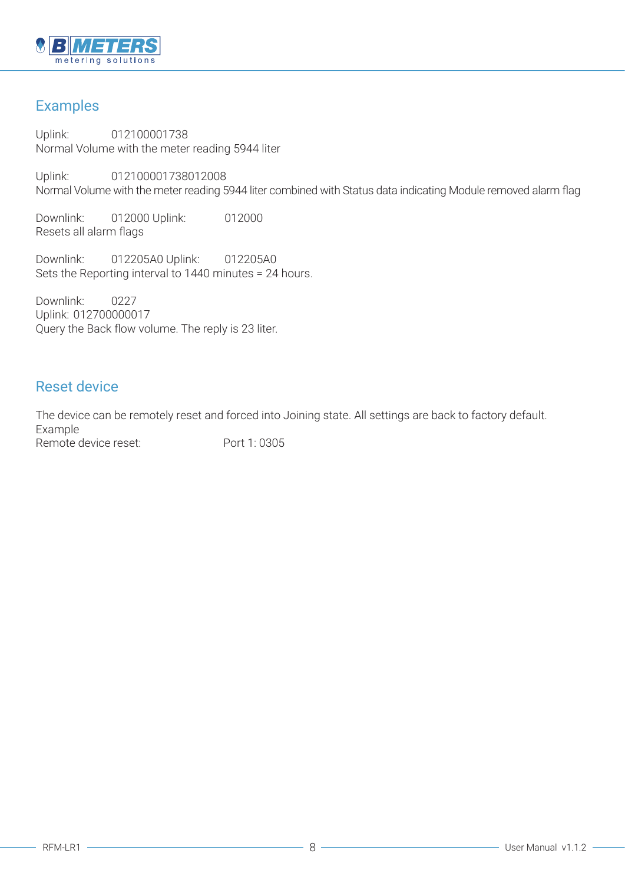

### Examples

Uplink: 012100001738 Normal Volume with the meter reading 5944 liter

Uplink: 012100001738012008 Normal Volume with the meter reading 5944 liter combined with Status data indicating Module removed alarm flag

Downlink: 012000 Uplink: 012000 Resets all alarm flags

Downlink: 012205A0 Uplink: 012205A0 Sets the Reporting interval to 1440 minutes = 24 hours.

Downlink: 0227 Uplink: 012700000017 Query the Back flow volume. The reply is 23 liter.

#### Reset device

The device can be remotely reset and forced into Joining state. All settings are back to factory default. Example Remote device reset: Port 1: 0305